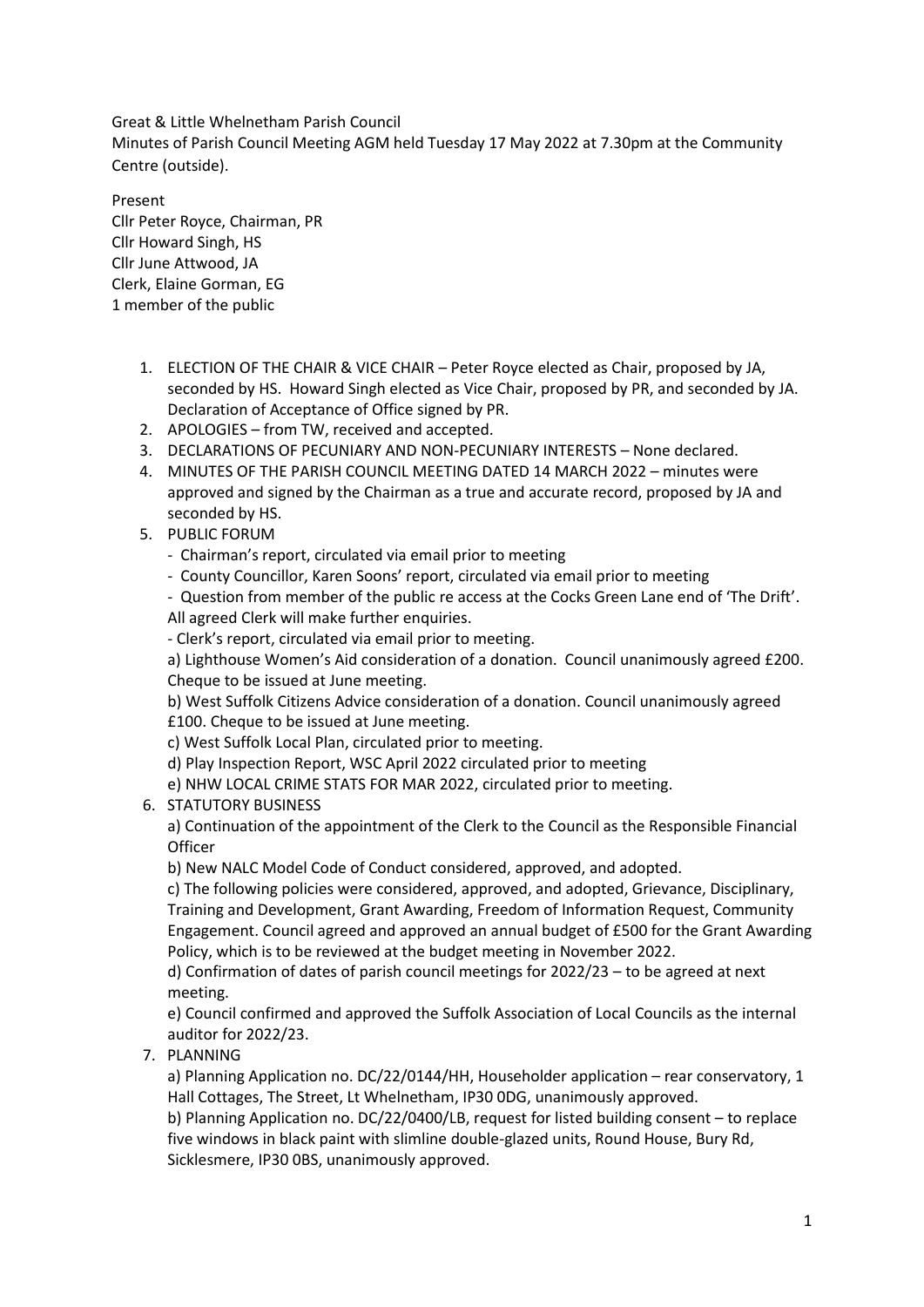Great & Little Whelnetham Parish Council Minutes of Parish Council Meeting AGM held Tuesday 17 May 2022 at 7.30pm at the Community Centre (outside).

Present Cllr Peter Royce, Chairman, PR Cllr Howard Singh, HS Cllr June Attwood, JA Clerk, Elaine Gorman, EG 1 member of the public

- 1. ELECTION OF THE CHAIR & VICE CHAIR Peter Royce elected as Chair, proposed by JA, seconded by HS. Howard Singh elected as Vice Chair, proposed by PR, and seconded by JA. Declaration of Acceptance of Office signed by PR.
- 2. APOLOGIES from TW, received and accepted.
- 3. DECLARATIONS OF PECUNIARY AND NON-PECUNIARY INTERESTS None declared.
- 4. MINUTES OF THE PARISH COUNCIL MEETING DATED 14 MARCH 2022 minutes were approved and signed by the Chairman as a true and accurate record, proposed by JA and seconded by HS.
- 5. PUBLIC FORUM
	- Chairman's report, circulated via email prior to meeting
	- County Councillor, Karen Soons' report, circulated via email prior to meeting

- Question from member of the public re access at the Cocks Green Lane end of 'The Drift'. All agreed Clerk will make further enquiries.

- Clerk's report, circulated via email prior to meeting.

a) Lighthouse Women's Aid consideration of a donation. Council unanimously agreed £200. Cheque to be issued at June meeting.

b) West Suffolk Citizens Advice consideration of a donation. Council unanimously agreed £100. Cheque to be issued at June meeting.

c) West Suffolk Local Plan, circulated prior to meeting.

d) Play Inspection Report, WSC April 2022 circulated prior to meeting

e) NHW LOCAL CRIME STATS FOR MAR 2022, circulated prior to meeting.

6. STATUTORY BUSINESS

a) Continuation of the appointment of the Clerk to the Council as the Responsible Financial **Officer** 

b) New NALC Model Code of Conduct considered, approved, and adopted.

c) The following policies were considered, approved, and adopted, Grievance, Disciplinary, Training and Development, Grant Awarding, Freedom of Information Request, Community Engagement. Council agreed and approved an annual budget of £500 for the Grant Awarding Policy, which is to be reviewed at the budget meeting in November 2022.

d) Confirmation of dates of parish council meetings for 2022/23 – to be agreed at next meeting.

e) Council confirmed and approved the Suffolk Association of Local Councils as the internal auditor for 2022/23.

7. PLANNING

a) Planning Application no. DC/22/0144/HH, Householder application – rear conservatory, 1 Hall Cottages, The Street, Lt Whelnetham, IP30 0DG, unanimously approved.

b) Planning Application no. DC/22/0400/LB, request for listed building consent – to replace five windows in black paint with slimline double-glazed units, Round House, Bury Rd, Sicklesmere, IP30 0BS, unanimously approved.